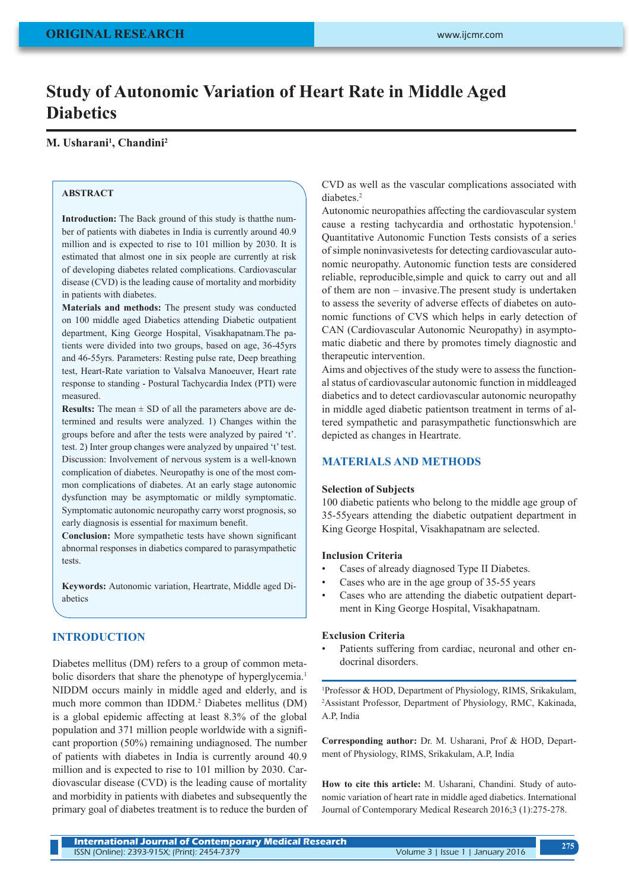# **Study of Autonomic Variation of Heart Rate in Middle Aged Diabetics**

# **M. Usharani1 , Chandini2**

# **ABSTRACT**

**Introduction:** The Back ground of this study is thatthe number of patients with diabetes in India is currently around 40.9 million and is expected to rise to 101 million by 2030. It is estimated that almost one in six people are currently at risk of developing diabetes related complications. Cardiovascular disease (CVD) is the leading cause of mortality and morbidity in patients with diabetes.

**Materials and methods:** The present study was conducted on 100 middle aged Diabetics attending Diabetic outpatient department, King George Hospital, Visakhapatnam.The patients were divided into two groups, based on age, 36-45yrs and 46-55yrs. Parameters: Resting pulse rate, Deep breathing test, Heart-Rate variation to Valsalva Manoeuver, Heart rate response to standing - Postural Tachycardia Index (PTI) were measured.

**Results:** The mean  $\pm$  SD of all the parameters above are determined and results were analyzed. 1) Changes within the groups before and after the tests were analyzed by paired 't'. test. 2) Inter group changes were analyzed by unpaired 't' test. Discussion: Involvement of nervous system is a well-known complication of diabetes. Neuropathy is one of the most common complications of diabetes. At an early stage autonomic dysfunction may be asymptomatic or mildly symptomatic. Symptomatic autonomic neuropathy carry worst prognosis, so early diagnosis is essential for maximum benefit.

**Conclusion:** More sympathetic tests have shown significant abnormal responses in diabetics compared to parasympathetic tests.

**Keywords:** Autonomic variation, Heartrate, Middle aged Diabetics

# **INTRODUCTION**

Diabetes mellitus (DM) refers to a group of common metabolic disorders that share the phenotype of hyperglycemia.<sup>1</sup> NIDDM occurs mainly in middle aged and elderly, and is much more common than IDDM.2 Diabetes mellitus (DM) is a global epidemic affecting at least 8.3% of the global population and 371 million people worldwide with a significant proportion (50%) remaining undiagnosed. The number of patients with diabetes in India is currently around 40.9 million and is expected to rise to 101 million by 2030. Cardiovascular disease (CVD) is the leading cause of mortality and morbidity in patients with diabetes and subsequently the primary goal of diabetes treatment is to reduce the burden of

CVD as well as the vascular complications associated with diabetes<sup>2</sup>

Autonomic neuropathies affecting the cardiovascular system cause a resting tachycardia and orthostatic hypotension.<sup>1</sup> Quantitative Autonomic Function Tests consists of a series of simple noninvasivetests for detecting cardiovascular autonomic neuropathy. Autonomic function tests are considered reliable, reproducible,simple and quick to carry out and all of them are non – invasive.The present study is undertaken to assess the severity of adverse effects of diabetes on autonomic functions of CVS which helps in early detection of CAN (Cardiovascular Autonomic Neuropathy) in asymptomatic diabetic and there by promotes timely diagnostic and therapeutic intervention.

Aims and objectives of the study were to assess the functional status of cardiovascular autonomic function in middleaged diabetics and to detect cardiovascular autonomic neuropathy in middle aged diabetic patientson treatment in terms of altered sympathetic and parasympathetic functionswhich are depicted as changes in Heartrate.

### **MATERIALS AND METHODS**

### **Selection of Subjects**

100 diabetic patients who belong to the middle age group of 35-55years attending the diabetic outpatient department in King George Hospital, Visakhapatnam are selected.

# **Inclusion Criteria**

- Cases of already diagnosed Type II Diabetes.
- Cases who are in the age group of 35-55 years
- Cases who are attending the diabetic outpatient department in King George Hospital, Visakhapatnam.

### **Exclusion Criteria**

Patients suffering from cardiac, neuronal and other endocrinal disorders.

1 Professor & HOD, Department of Physiology, RIMS, Srikakulam, 2 Assistant Professor, Department of Physiology, RMC, Kakinada, A.P, India

**Corresponding author:** Dr. M. Usharani, Prof & HOD, Department of Physiology, RIMS, Srikakulam, A.P, India

**How to cite this article:** M. Usharani, Chandini. Study of autonomic variation of heart rate in middle aged diabetics. International Journal of Contemporary Medical Research 2016;3 (1):275-278.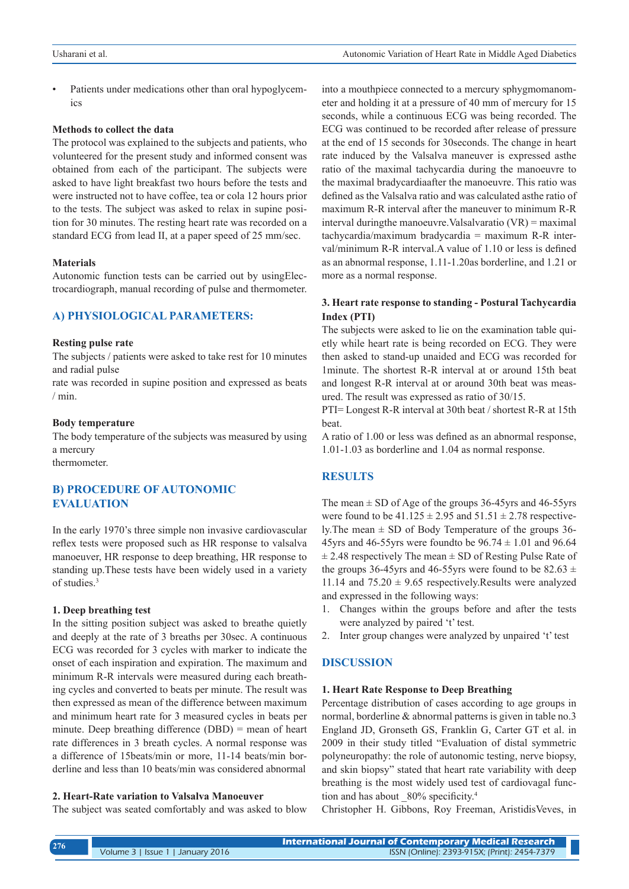Patients under medications other than oral hypoglycemics

### **Methods to collect the data**

The protocol was explained to the subjects and patients, who volunteered for the present study and informed consent was obtained from each of the participant. The subjects were asked to have light breakfast two hours before the tests and were instructed not to have coffee, tea or cola 12 hours prior to the tests. The subject was asked to relax in supine position for 30 minutes. The resting heart rate was recorded on a standard ECG from lead II, at a paper speed of 25 mm/sec.

### **Materials**

Autonomic function tests can be carried out by usingElectrocardiograph, manual recording of pulse and thermometer.

# **A) PHYSIOLOGICAL PARAMETERS:**

### **Resting pulse rate**

The subjects / patients were asked to take rest for 10 minutes and radial pulse

rate was recorded in supine position and expressed as beats / min.

### **Body temperature**

The body temperature of the subjects was measured by using a mercury

thermometer.

# **B) PROCEDURE OF AUTONOMIC EVALUATION**

In the early 1970's three simple non invasive cardiovascular reflex tests were proposed such as HR response to valsalva manoeuver, HR response to deep breathing, HR response to standing up.These tests have been widely used in a variety of studies.<sup>3</sup>

### **1. Deep breathing test**

In the sitting position subject was asked to breathe quietly and deeply at the rate of 3 breaths per 30sec. A continuous ECG was recorded for 3 cycles with marker to indicate the onset of each inspiration and expiration. The maximum and minimum R-R intervals were measured during each breathing cycles and converted to beats per minute. The result was then expressed as mean of the difference between maximum and minimum heart rate for 3 measured cycles in beats per minute. Deep breathing difference (DBD) = mean of heart rate differences in 3 breath cycles. A normal response was a difference of 15beats/min or more, 11-14 beats/min borderline and less than 10 beats/min was considered abnormal

#### **2. Heart-Rate variation to Valsalva Manoeuver**

The subject was seated comfortably and was asked to blow

into a mouthpiece connected to a mercury sphygmomanometer and holding it at a pressure of 40 mm of mercury for 15 seconds, while a continuous ECG was being recorded. The ECG was continued to be recorded after release of pressure at the end of 15 seconds for 30seconds. The change in heart rate induced by the Valsalva maneuver is expressed asthe ratio of the maximal tachycardia during the manoeuvre to the maximal bradycardiaafter the manoeuvre. This ratio was defined as the Valsalva ratio and was calculated asthe ratio of maximum R-R interval after the maneuver to minimum R-R interval duringthe manoeuvre.Valsalvaratio (VR) = maximal tachycardia/maximum bradycardia = maximum R-R interval/minimum R-R interval.A value of 1.10 or less is defined as an abnormal response, 1.11-1.20as borderline, and 1.21 or more as a normal response.

# **3. Heart rate response to standing - Postural Tachycardia Index (PTI)**

The subjects were asked to lie on the examination table quietly while heart rate is being recorded on ECG. They were then asked to stand-up unaided and ECG was recorded for 1minute. The shortest R-R interval at or around 15th beat and longest R-R interval at or around 30th beat was measured. The result was expressed as ratio of 30/15.

PTI= Longest R-R interval at 30th beat / shortest R-R at 15th **beat** 

A ratio of 1.00 or less was defined as an abnormal response, 1.01-1.03 as borderline and 1.04 as normal response.

### **RESULTS**

The mean  $\pm$  SD of Age of the groups 36-45yrs and 46-55yrs were found to be  $41.125 \pm 2.95$  and  $51.51 \pm 2.78$  respectively. The mean  $\pm$  SD of Body Temperature of the groups 36-45yrs and 46-55yrs were found to be  $96.74 \pm 1.01$  and  $96.64$  $\pm$  2.48 respectively The mean  $\pm$  SD of Resting Pulse Rate of the groups 36-45yrs and 46-55yrs were found to be 82.63  $\pm$ 11.14 and  $75.20 \pm 9.65$  respectively. Results were analyzed and expressed in the following ways:

- 1. Changes within the groups before and after the tests were analyzed by paired 't' test.
- 2. Inter group changes were analyzed by unpaired 't' test

## **DISCUSSION**

### **1. Heart Rate Response to Deep Breathing**

Percentage distribution of cases according to age groups in normal, borderline & abnormal patterns is given in table no.3 England JD, Gronseth GS, Franklin G, Carter GT et al. in 2009 in their study titled "Evaluation of distal symmetric polyneuropathy: the role of autonomic testing, nerve biopsy, and skin biopsy" stated that heart rate variability with deep breathing is the most widely used test of cardiovagal function and has about  $80\%$  specificity.<sup>4</sup>

Christopher H. Gibbons, Roy Freeman, AristidisVeves, in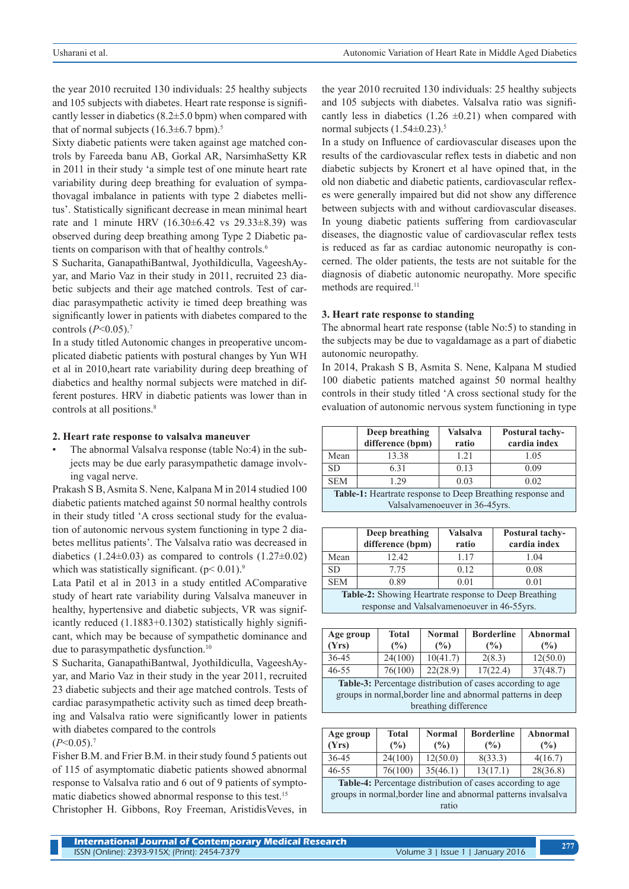the year 2010 recruited 130 individuals: 25 healthy subjects and 105 subjects with diabetes. Heart rate response is significantly lesser in diabetics  $(8.2 \pm 5.0 \text{ bpm})$  when compared with that of normal subjects  $(16.3\pm6.7 \text{ bpm})$ .<sup>5</sup>

Sixty diabetic patients were taken against age matched controls by Fareeda banu AB, Gorkal AR, NarsimhaSetty KR in 2011 in their study 'a simple test of one minute heart rate variability during deep breathing for evaluation of sympathovagal imbalance in patients with type 2 diabetes mellitus'. Statistically significant decrease in mean minimal heart rate and 1 minute HRV (16.30±6.42 vs 29.33±8.39) was observed during deep breathing among Type 2 Diabetic patients on comparison with that of healthy controls.6

S Sucharita, GanapathiBantwal, JyothiIdiculla, VageeshAyyar, and Mario Vaz in their study in 2011, recruited 23 diabetic subjects and their age matched controls. Test of cardiac parasympathetic activity ie timed deep breathing was significantly lower in patients with diabetes compared to the controls (*P*<0.05).7

In a study titled Autonomic changes in preoperative uncomplicated diabetic patients with postural changes by Yun WH et al in 2010,heart rate variability during deep breathing of diabetics and healthy normal subjects were matched in different postures. HRV in diabetic patients was lower than in controls at all positions.<sup>8</sup>

### **2. Heart rate response to valsalva maneuver**

The abnormal Valsalva response (table No:4) in the subjects may be due early parasympathetic damage involving vagal nerve.

Prakash S B, Asmita S. Nene, Kalpana M in 2014 studied 100 diabetic patients matched against 50 normal healthy controls in their study titled 'A cross sectional study for the evaluation of autonomic nervous system functioning in type 2 diabetes mellitus patients'. The Valsalva ratio was decreased in diabetics (1.24 $\pm$ 0.03) as compared to controls (1.27 $\pm$ 0.02) which was statistically significant.  $(p< 0.01)^9$ 

Lata Patil et al in 2013 in a study entitled AComparative study of heart rate variability during Valsalva maneuver in healthy, hypertensive and diabetic subjects, VR was significantly reduced (1.1883+0.1302) statistically highly significant, which may be because of sympathetic dominance and due to parasympathetic dysfunction.<sup>10</sup>

S Sucharita, GanapathiBantwal, JyothiIdiculla, VageeshAyyar, and Mario Vaz in their study in the year 2011, recruited 23 diabetic subjects and their age matched controls. Tests of cardiac parasympathetic activity such as timed deep breathing and Valsalva ratio were significantly lower in patients with diabetes compared to the controls

 $(P<0.05)$ .<sup>7</sup>

Fisher B.M. and Frier B.M. in their study found 5 patients out of 115 of asymptomatic diabetic patients showed abnormal response to Valsalva ratio and 6 out of 9 patients of symptomatic diabetics showed abnormal response to this test.<sup>15</sup>

Christopher H. Gibbons, Roy Freeman, AristidisVeves, in

the year 2010 recruited 130 individuals: 25 healthy subjects and 105 subjects with diabetes. Valsalva ratio was significantly less in diabetics  $(1.26 \pm 0.21)$  when compared with normal subjects  $(1.54\pm0.23)^5$ 

In a study on Influence of cardiovascular diseases upon the results of the cardiovascular reflex tests in diabetic and non diabetic subjects by Kronert et al have opined that, in the old non diabetic and diabetic patients, cardiovascular reflexes were generally impaired but did not show any difference between subjects with and without cardiovascular diseases. In young diabetic patients suffering from cardiovascular diseases, the diagnostic value of cardiovascular reflex tests is reduced as far as cardiac autonomic neuropathy is concerned. The older patients, the tests are not suitable for the diagnosis of diabetic autonomic neuropathy. More specific methods are required.<sup>11</sup>

### **3. Heart rate response to standing**

The abnormal heart rate response (table No:5) to standing in the subjects may be due to vagaldamage as a part of diabetic autonomic neuropathy.

In 2014, Prakash S B, Asmita S. Nene, Kalpana M studied 100 diabetic patients matched against 50 normal healthy controls in their study titled 'A cross sectional study for the evaluation of autonomic nervous system functioning in type

|      | Deep breathing<br>difference (bpm) | Valsalva<br>ratio | <b>Postural tachy-</b><br>cardia index |
|------|------------------------------------|-------------------|----------------------------------------|
| Mean | 13.38                              | 121               | 1.05                                   |
| SD.  | 631                                | 0.13              | 0.09                                   |
| SEM  | 29                                 | 0.03              | ን በ2                                   |

**Table-1:** Heartrate response to Deep Breathing response and Valsalvamenoeuver in 36-45yrs.

|                                                                                                      | Deep breathing<br>difference (bpm) | Valsalva<br>ratio | <b>Postural tachy-</b><br>cardia index |  |  |
|------------------------------------------------------------------------------------------------------|------------------------------------|-------------------|----------------------------------------|--|--|
| Mean                                                                                                 | 12.42                              | 1.17              | 1.04                                   |  |  |
| SD.                                                                                                  | 775                                | 0.12              | 0.08                                   |  |  |
| <b>SEM</b>                                                                                           | 0.89                               | 0.01              | 0.01                                   |  |  |
| Table-2: Showing Heartrate response to Deep Breathing<br>response and Valsalvamenoeuver in 46-55yrs. |                                    |                   |                                        |  |  |

| Age group<br>(Yrs)                                                                                                                                | <b>Total</b><br>(%) | <b>Normal</b><br>(%) | <b>Borderline</b><br>(%) | Abnormal<br>$\frac{6}{2}$ |  |
|---------------------------------------------------------------------------------------------------------------------------------------------------|---------------------|----------------------|--------------------------|---------------------------|--|
| 36-45                                                                                                                                             | 24(100)             | 10(41.7)             | 2(8.3)                   | 12(50.0)                  |  |
| $46 - 55$                                                                                                                                         | 76(100)             | 22(28.9)             | 17(22.4)                 | 37(48.7)                  |  |
| Table-3: Percentage distribution of cases according to age<br>groups in normal, border line and abnormal patterns in deep<br>breathing difference |                     |                      |                          |                           |  |

| Age group<br>(Yrs)                                         | Total<br>(%) | <b>Normal</b><br>$($ %) | <b>Borderline</b><br>$\frac{9}{6}$ | Abnormal<br>(%) |
|------------------------------------------------------------|--------------|-------------------------|------------------------------------|-----------------|
| 36-45                                                      | 24(100)      | 12(50.0)                | 8(33.3)                            | 4(16.7)         |
| $46 - 55$                                                  | 76(100)      | 35(46.1)                | 13(17.1)                           | 28(36.8)        |
| Table 4. Percentage distribution of cases according to age |              |                         |                                    |                 |

**Percentage distribution of cases according to age.** groups in normal,border line and abnormal patterns invalsalva ratio